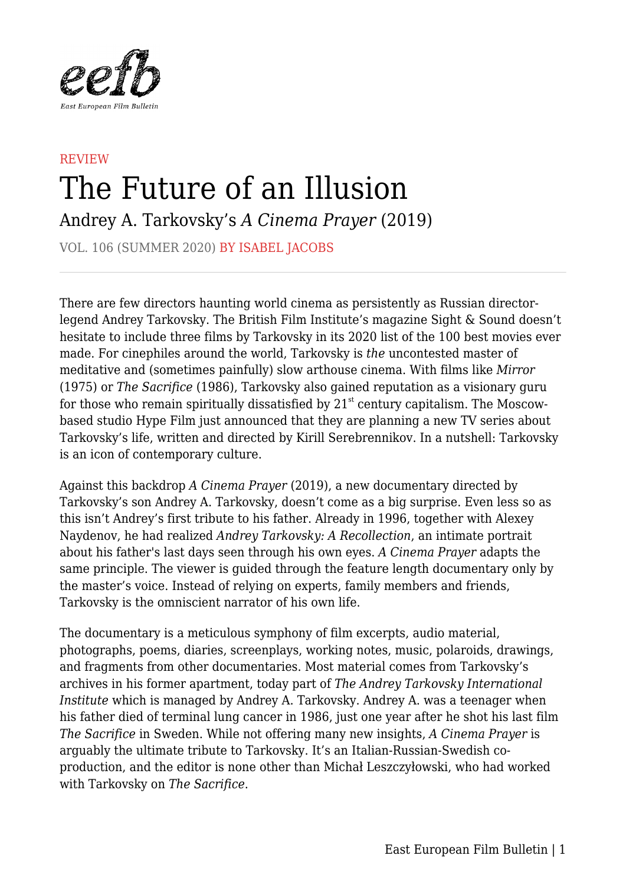

## **REVIEW** The Future of an Illusion

Andrey A. Tarkovsky's *A Cinema Prayer* (2019)

VOL. 106 (SUMMER 2020) BY ISABEL JACOBS

There are few directors haunting world cinema as persistently as Russian directorlegend Andrey Tarkovsky. The British Film Institute's magazine Sight & Sound doesn't hesitate to include three films by Tarkovsky in its 2020 list of the 100 best movies ever made. For cinephiles around the world, Tarkovsky is *the* uncontested master of meditative and (sometimes painfully) slow arthouse cinema. With films like *Mirror* (1975) or *The Sacrifice* (1986), Tarkovsky also gained reputation as a visionary guru for those who remain spiritually dissatisfied by  $21<sup>st</sup>$  century capitalism. The Moscowbased studio Hype Film just announced that they are planning a new TV series about Tarkovsky's life, written and directed by Kirill Serebrennikov. In a nutshell: Tarkovsky is an icon of contemporary culture.

Against this backdrop *A Cinema Prayer* (2019), a new documentary directed by Tarkovsky's son Andrey A. Tarkovsky, doesn't come as a big surprise. Even less so as this isn't Andrey's first tribute to his father. Already in 1996, together with Alexey Naydenov, he had realized *Andrey Tarkovsky: A Recollection*, an intimate portrait about his father's last days seen through his own eyes. *A Cinema Prayer* adapts the same principle. The viewer is guided through the feature length documentary only by the master's voice. Instead of relying on experts, family members and friends, Tarkovsky is the omniscient narrator of his own life.

The documentary is a meticulous symphony of film excerpts, audio material, photographs, poems, diaries, screenplays, working notes, music, polaroids, drawings, and fragments from other documentaries. Most material comes from Tarkovsky's archives in his former apartment, today part of *The Andrey Tarkovsky International Institute* which is managed by Andrey A. Tarkovsky. Andrey A. was a teenager when his father died of terminal lung cancer in 1986, just one year after he shot his last film *The Sacrifice* in Sweden. While not offering many new insights, *A Cinema Prayer* is arguably the ultimate tribute to Tarkovsky. It's an Italian-Russian-Swedish coproduction, and the editor is none other than Michał Leszczyłowski, who had worked with Tarkovsky on *The Sacrifice*.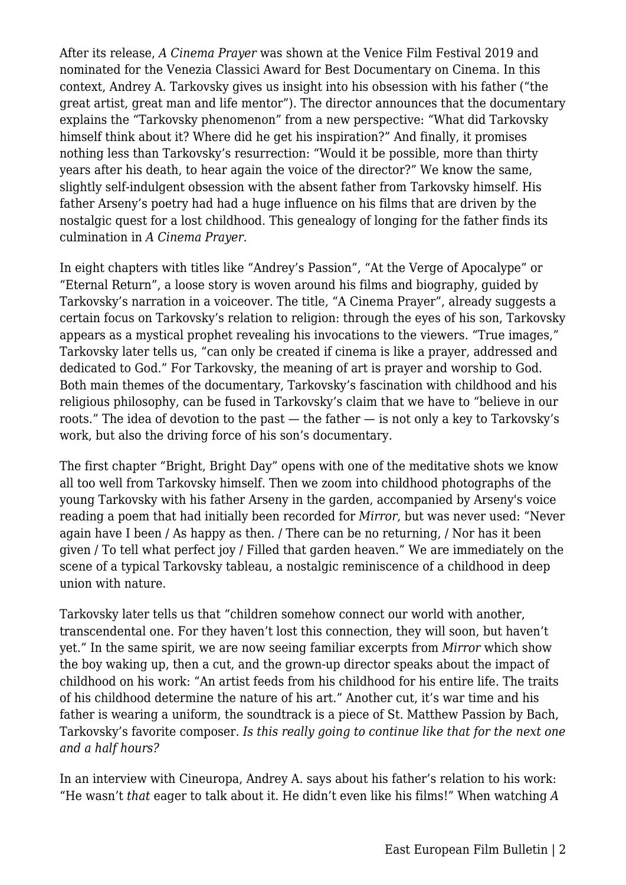After its release, *A Cinema Prayer* was shown at the Venice Film Festival 2019 and nominated for the Venezia Classici Award for Best Documentary on Cinema. In this context, Andrey A. Tarkovsky gives us insight into his obsession with his father ("the great artist, great man and life mentor"). The director announces that the documentary explains the "Tarkovsky phenomenon" from a new perspective: "What did Tarkovsky himself think about it? Where did he get his inspiration?" And finally, it promises nothing less than Tarkovsky's resurrection: "Would it be possible, more than thirty years after his death, to hear again the voice of the director?" We know the same, slightly self-indulgent obsession with the absent father from Tarkovsky himself. His father Arseny's poetry had had a huge influence on his films that are driven by the nostalgic quest for a lost childhood. This genealogy of longing for the father finds its culmination in *A Cinema Prayer*.

In eight chapters with titles like "Andrey's Passion", "At the Verge of Apocalype" or "Eternal Return", a loose story is woven around his films and biography, guided by Tarkovsky's narration in a voiceover. The title, "A Cinema Prayer", already suggests a certain focus on Tarkovsky's relation to religion: through the eyes of his son, Tarkovsky appears as a mystical prophet revealing his invocations to the viewers. "True images," Tarkovsky later tells us, "can only be created if cinema is like a prayer, addressed and dedicated to God." For Tarkovsky, the meaning of art is prayer and worship to God. Both main themes of the documentary, Tarkovsky's fascination with childhood and his religious philosophy, can be fused in Tarkovsky's claim that we have to "believe in our roots." The idea of devotion to the past — the father — is not only a key to Tarkovsky's work, but also the driving force of his son's documentary.

The first chapter "Bright, Bright Day" opens with one of the meditative shots we know all too well from Tarkovsky himself. Then we zoom into childhood photographs of the young Tarkovsky with his father Arseny in the garden, accompanied by Arseny's voice reading a poem that had initially been recorded for *Mirror*, but was never used: "Never again have I been / As happy as then. / There can be no returning, / Nor has it been given / To tell what perfect joy / Filled that garden heaven." We are immediately on the scene of a typical Tarkovsky tableau, a nostalgic reminiscence of a childhood in deep union with nature.

Tarkovsky later tells us that "children somehow connect our world with another, transcendental one. For they haven't lost this connection, they will soon, but haven't yet." In the same spirit, we are now seeing familiar excerpts from *Mirror* which show the boy waking up, then a cut, and the grown-up director speaks about the impact of childhood on his work: "An artist feeds from his childhood for his entire life. The traits of his childhood determine the nature of his art." Another cut, it's war time and his father is wearing a uniform, the soundtrack is a piece of St. Matthew Passion by Bach, Tarkovsky's favorite composer. *Is this really going to continue like that for the next one and a half hours?*

In an interview with Cineuropa, Andrey A. says about his father's relation to his work: "He wasn't *that* eager to talk about it. He didn't even like his films!" When watching *A*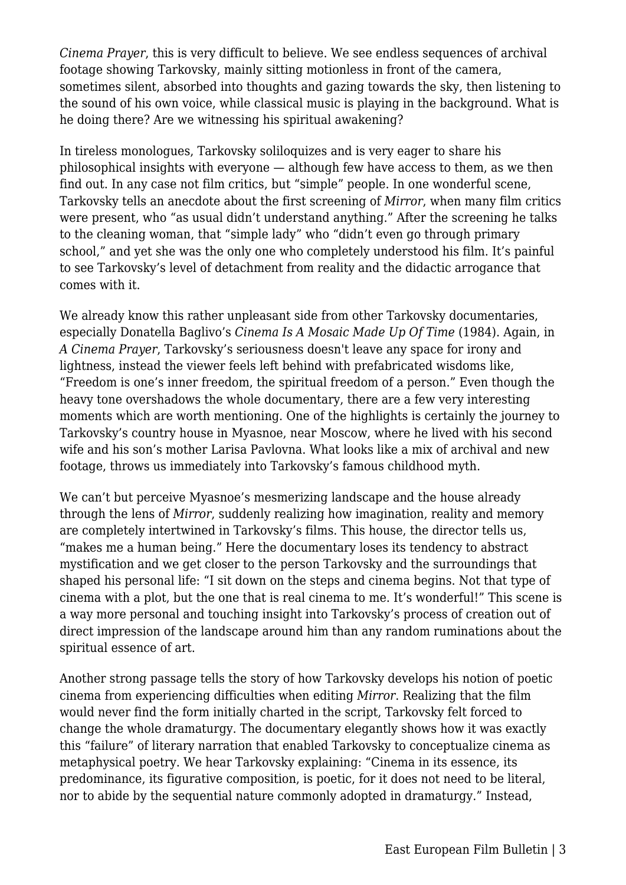*Cinema Prayer*, this is very difficult to believe. We see endless sequences of archival footage showing Tarkovsky, mainly sitting motionless in front of the camera, sometimes silent, absorbed into thoughts and gazing towards the sky, then listening to the sound of his own voice, while classical music is playing in the background. What is he doing there? Are we witnessing his spiritual awakening?

In tireless monologues, Tarkovsky soliloquizes and is very eager to share his philosophical insights with everyone — although few have access to them, as we then find out. In any case not film critics, but "simple" people. In one wonderful scene, Tarkovsky tells an anecdote about the first screening of *Mirror*, when many film critics were present, who "as usual didn't understand anything." After the screening he talks to the cleaning woman, that "simple lady" who "didn't even go through primary school," and yet she was the only one who completely understood his film. It's painful to see Tarkovsky's level of detachment from reality and the didactic arrogance that comes with it.

We already know this rather unpleasant side from other Tarkovsky documentaries, especially Donatella Baglivo's *Cinema Is A Mosaic Made Up Of Time* (1984). Again, in *A Cinema Prayer*, Tarkovsky's seriousness doesn't leave any space for irony and lightness, instead the viewer feels left behind with prefabricated wisdoms like, "Freedom is one's inner freedom, the spiritual freedom of a person." Even though the heavy tone overshadows the whole documentary, there are a few very interesting moments which are worth mentioning. One of the highlights is certainly the journey to Tarkovsky's country house in Myasnoe, near Moscow, where he lived with his second wife and his son's mother Larisa Pavlovna. What looks like a mix of archival and new footage, throws us immediately into Tarkovsky's famous childhood myth.

We can't but perceive Myasnoe's mesmerizing landscape and the house already through the lens of *Mirror*, suddenly realizing how imagination, reality and memory are completely intertwined in Tarkovsky's films. This house, the director tells us, "makes me a human being." Here the documentary loses its tendency to abstract mystification and we get closer to the person Tarkovsky and the surroundings that shaped his personal life: "I sit down on the steps and cinema begins. Not that type of cinema with a plot, but the one that is real cinema to me. It's wonderful!" This scene is a way more personal and touching insight into Tarkovsky's process of creation out of direct impression of the landscape around him than any random ruminations about the spiritual essence of art.

Another strong passage tells the story of how Tarkovsky develops his notion of poetic cinema from experiencing difficulties when editing *Mirror*. Realizing that the film would never find the form initially charted in the script, Tarkovsky felt forced to change the whole dramaturgy. The documentary elegantly shows how it was exactly this "failure" of literary narration that enabled Tarkovsky to conceptualize cinema as metaphysical poetry. We hear Tarkovsky explaining: "Cinema in its essence, its predominance, its figurative composition, is poetic, for it does not need to be literal, nor to abide by the sequential nature commonly adopted in dramaturgy." Instead,